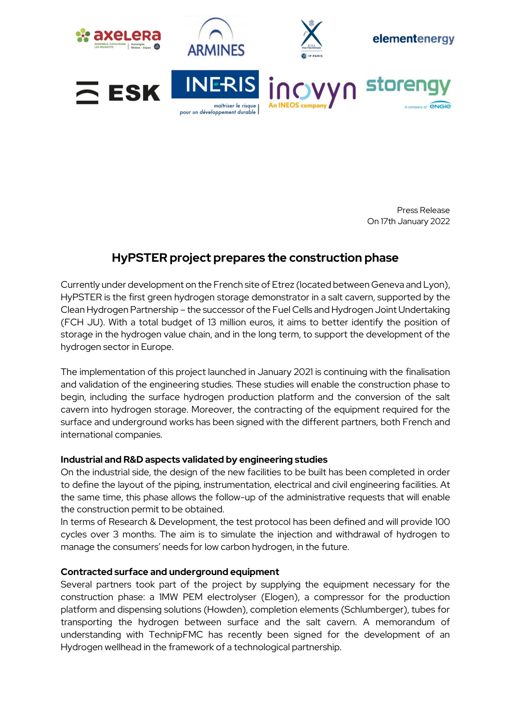





elementenergy

**Stor** 









# **HyPSTER project prepares the construction phase**

Currently under development on the French site of Etrez (located between Geneva and Lyon), HyPSTER is the first green hydrogen storage demonstrator in a salt cavern, supported by the Clean Hydrogen Partnership – the successor of the Fuel Cells and Hydrogen Joint Undertaking (FCH JU). With a total budget of 13 million euros, it aims to better identify the position of storage in the hydrogen value chain, and in the long term, to support the development of the hydrogen sector in Europe.

The implementation of this project launched in January 2021 is continuing with the finalisation and validation of the engineering studies. These studies will enable the construction phase to begin, including the surface hydrogen production platform and the conversion of the salt cavern into hydrogen storage. Moreover, the contracting of the equipment required for the surface and underground works has been signed with the different partners, both French and international companies.

## **Industrial and R&D aspects validated by engineering studies**

On the industrial side, the design of the new facilities to be built has been completed in order to define the layout of the piping, instrumentation, electrical and civil engineering facilities. At the same time, this phase allows the follow-up of the administrative requests that will enable the construction permit to be obtained.

In terms of Research & Development, the test protocol has been defined and will provide 100 cycles over 3 months. The aim is to simulate the injection and withdrawal of hydrogen to manage the consumers' needs for low carbon hydrogen, in the future.

## **Contracted surface and underground equipment**

Several partners took part of the project by supplying the equipment necessary for the construction phase: a 1MW PEM electrolyser (Elogen), a compressor for the production platform and dispensing solutions (Howden), completion elements (Schlumberger), tubes for transporting the hydrogen between surface and the salt cavern. A memorandum of understanding with TechnipFMC has recently been signed for the development of an Hydrogen wellhead in the framework of a technological partnership.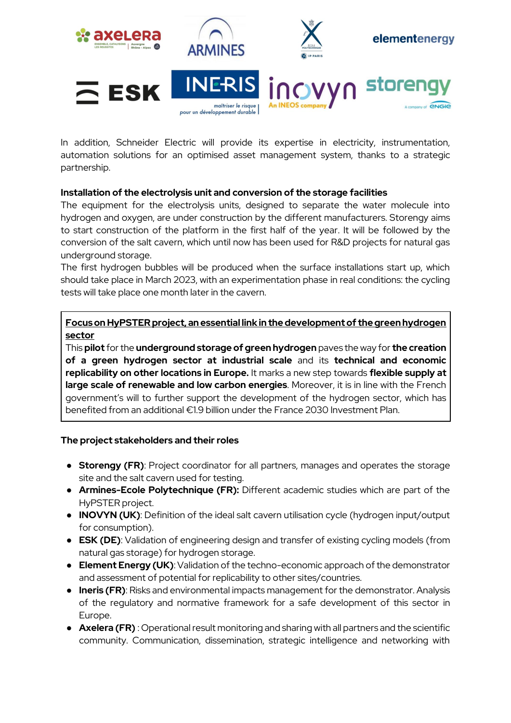

In addition, Schneider Electric will provide its expertise in electricity, instrumentation, automation solutions for an optimised asset management system, thanks to a strategic partnership.

## **Installation of the electrolysis unit and conversion of the storage facilities**

The equipment for the electrolysis units, designed to separate the water molecule into hydrogen and oxygen, are under construction by the different manufacturers. Storengy aims to start construction of the platform in the first half of the year. It will be followed by the conversion of the salt cavern, which until now has been used for R&D projects for natural gas underground storage.

The first hydrogen bubbles will be produced when the surface installations start up, which should take place in March 2023, with an experimentation phase in real conditions: the cycling tests will take place one month later in the cavern.

**Focus on HyPSTER project, an essential link in the development of the green hydrogen sector**

This **pilot** for the **underground storage of green hydrogen** paves the way for **the creation of a green hydrogen sector at industrial scale** and its **technical and economic replicability on other locations in Europe.** It marks a new step towards **flexible supply at large scale of renewable and low carbon energies**. Moreover, it is in line with the French government's will to further support the development of the hydrogen sector, which has benefited from an additional €1.9 billion under the France 2030 Investment Plan.

## **The project stakeholders and their roles**

- **Storengy (FR)**: Project coordinator for all partners, manages and operates the storage site and the salt cavern used for testing.
- **Armines-Ecole Polytechnique (FR):** Different academic studies which are part of the HyPSTER project.
- **INOVYN (UK)**: Definition of the ideal salt cavern utilisation cycle (hydrogen input/output for consumption).
- **ESK (DE)**: Validation of engineering design and transfer of existing cycling models (from natural gas storage) for hydrogen storage.
- **Element Energy (UK)**: Validation of the techno-economic approach of the demonstrator and assessment of potential for replicability to other sites/countries.
- **Ineris (FR)**: Risks and environmental impacts management for the demonstrator. Analysis of the regulatory and normative framework for a safe development of this sector in Europe.
- **Axelera (FR)** : Operational result monitoring and sharing with all partners and the scientific community. Communication, dissemination, strategic intelligence and networking with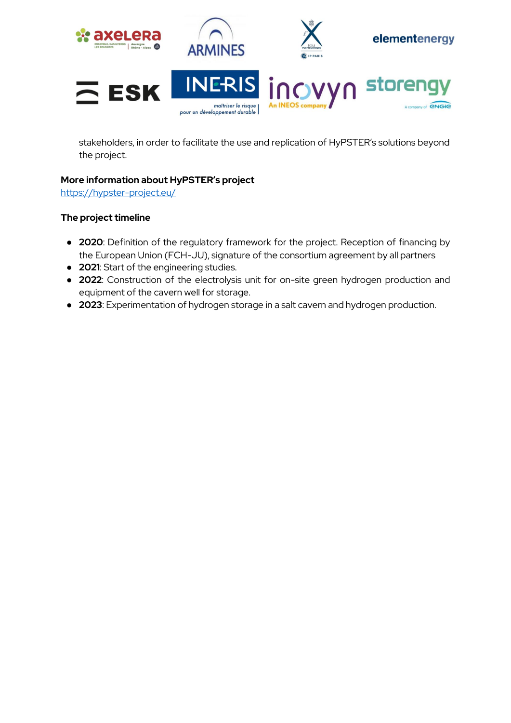

stakeholders, in order to facilitate the use and replication of HyPSTER's solutions beyond the project.

## **More information about HyPSTER's project**

<https://hypster-project.eu/>

## **The project timeline**

- **2020**: Definition of the regulatory framework for the project. Reception of financing by the European Union (FCH-JU), signature of the consortium agreement by all partners
- **2021**: Start of the engineering studies.
- **2022**: Construction of the electrolysis unit for on-site green hydrogen production and equipment of the cavern well for storage.
- **2023**: Experimentation of hydrogen storage in a salt cavern and hydrogen production.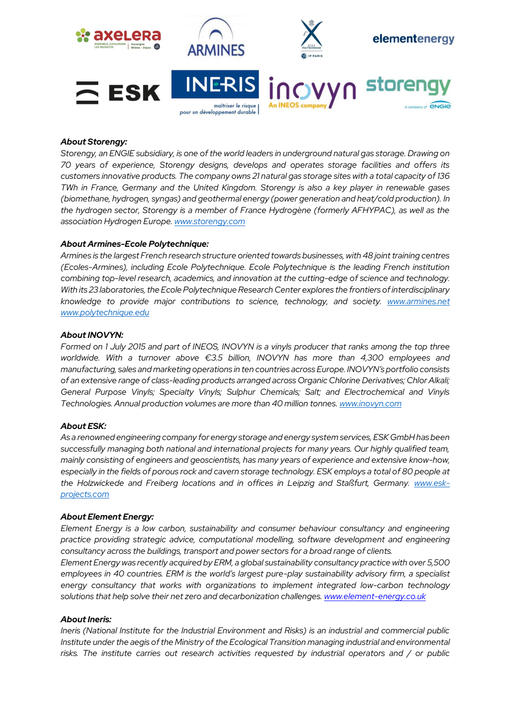

### *About Storengy:*

*Storengy, an ENGIE subsidiary, is one of the world leaders in underground natural gas storage. Drawing on 70 years of experience, Storengy designs, develops and operates storage facilities and offers its customers innovative products. The company owns 21 natural gas storage sites with a total capacity of 136 TWh in France, Germany and the United Kingdom. Storengy is also a key player in renewable gases (biomethane, hydrogen, syngas) and geothermal energy (power generation and heat/cold production). In the hydrogen sector, Storengy is a member of France Hydrogène (formerly AFHYPAC), as well as the association Hydrogen Europe. [www.storengy.com](http://www.storengy.com/)*

#### *About Armines-Ecole Polytechnique:*

*Armines is the largest French research structure oriented towards businesses, with 48 joint training centres (Ecoles-Armines), including Ecole Polytechnique. Ecole Polytechnique is the leading French institution combining top-level research, academics, and innovation at the cutting-edge of science and technology. With its 23 laboratories, the Ecole Polytechnique Research Center explores the frontiers of interdisciplinary knowledge to provide major contributions to science, technology, and society. [www.armines.net](file:///C:/Users/BC1028/Desktop/EN%20COURS%20DJODJO/Projets%20H2%20&%20géothermie/Hypster%20-%20etrez/Communication%20du%20projet/CP%20lancement%20Janv2021/www.armines.net) [www.polytechnique.edu](http://www.polytechnique.edu/)*

#### *About INOVYN:*

*Formed on 1 July 2015 and part of INEOS, INOVYN is a vinyls producer that ranks among the top three worldwide. With a turnover above €3.5 billion, INOVYN has more than 4,300 employees and manufacturing, sales and marketing operations in ten countries across Europe. INOVYN's portfolio consists of an extensive range of class-leading products arranged across Organic Chlorine Derivatives; Chlor Alkali; General Purpose Vinyls; Specialty Vinyls; Sulphur Chemicals; Salt; and Electrochemical and Vinyls Technologies. Annual production volumes are more than 40 million tonnes. [www.inovyn.com](https://urldefense.com/v3/__http:/www.inovyn.com__;!!La4veWw!hgO31BGmr4UysmTCldTZ8fSt5goKMWiSASoMiVcsBrpXx8kwaLIeQxx-5m1ndW-gRO9laz0$)*

#### *About ESK:*

*As a renowned engineering company for energy storage and energy system services, ESK GmbH has been successfully managing both national and international projects for many years. Our highly qualified team, mainly consisting of engineers and geoscientists, has many years of experience and extensive know-how, especially in the fields of porous rock and cavern storage technology. ESK employs a total of 80 people at*  the Holzwickede and Freiberg locations and in offices in Leipzig and Staßfurt, Germany. *[www.esk](http://www.esk-projects.com/)[projects.com](http://www.esk-projects.com/)*

#### *About Element Energy:*

*Element Energy is a low carbon, sustainability and consumer behaviour consultancy and engineering practice providing strategic advice, computational modelling, software development and engineering consultancy across the buildings, transport and power sectors for a broad range of clients.*

*Element Energy was recently acquired by ERM, a global sustainability consultancy practice with over 5,500 employees in 40 countries. ERM is the world's largest pure-play sustainability advisory firm, a specialist energy consultancy that works with organizations to implement integrated low-carbon technology solutions that help solve their net zero and decarbonization challenges. [www.element-energy.co.uk](https://urldefense.com/v3/__http:/www.element-energy.co.uk/__;!!La4veWw!l_ffTp5s3aJ7xUJFMzIF2dAr3mKCK5gjZB10f6ziQSxQuwp5jkX8RB1AjTEZy9CDQ2l9R6A$)*

#### *About Ineris:*

*Ineris (National Institute for the Industrial Environment and Risks) is an industrial and commercial public Institute under the aegis of the Ministry of the Ecological Transition managing industrial and environmental risks. The institute carries out research activities requested by industrial operators and / or public*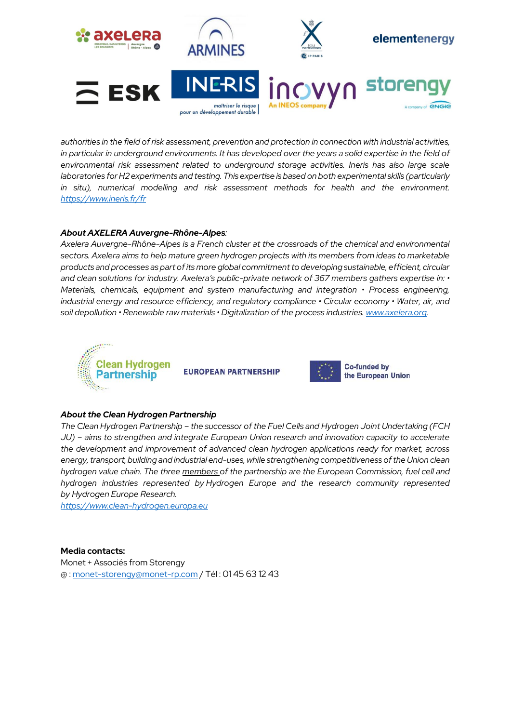

*authorities in the field of risk assessment, prevention and protection in connection with industrial activities, in particular in underground environments. It has developed over the years a solid expertise in the field of environmental risk assessment related to underground storage activities. Ineris has also large scale laboratories for H2 experiments and testing. This expertise is based on both experimental skills (particularly in situ), numerical modelling and risk assessment methods for health and the environment. <https://www.ineris.fr/fr>*

#### *About AXELERA Auvergne-Rhône-Alpes:*

*Axelera Auvergne-Rhône-Alpes is a French cluster at the crossroads of the chemical and environmental sectors. Axelera aims to help mature green hydrogen projects with its members from ideas to marketable products and processes as part of its more global commitment to developing sustainable, efficient, circular and clean solutions for industry. Axelera's public-private network of 367 members gathers expertise in: • Materials, chemicals, equipment and system manufacturing and integration • Process engineering, industrial energy and resource efficiency, and regulatory compliance • Circular economy • Water, air, and soil depollution • Renewable raw materials • Digitalization of the process industries. [www.axelera.org.](http://www.axelera.org/)* 



**EUROPEAN PARTNERSHIP** 



#### *About the Clean Hydrogen Partnership*

*The Clean Hydrogen Partnership – the successor of the Fuel Cells and Hydrogen Joint Undertaking (FCH JU) – aims to strengthen and integrate European Union research and innovation capacity to accelerate the development and improvement of advanced clean hydrogen applications ready for market, across energy, transport, building and industrial end-uses, while strengthening competitiveness of the Union clean hydrogen value chain. The three [members](https://www.clean-hydrogen.europa.eu/about-us/organisation_en) of the partnership are the European Commission, fuel cell and hydrogen industries represented by Hydrogen Europe and the research community represented by Hydrogen Europe Research.*

*[https://www.clean-hydrogen.europa.eu](https://www.clean-hydrogen.europa.eu/)*

#### **Media contacts:**

Monet + Associés from Storengy @ : [monet-storengy@monet-rp.com](mailto:monet-storengy@monet-rp.com) / Tél : 01 45 63 12 43